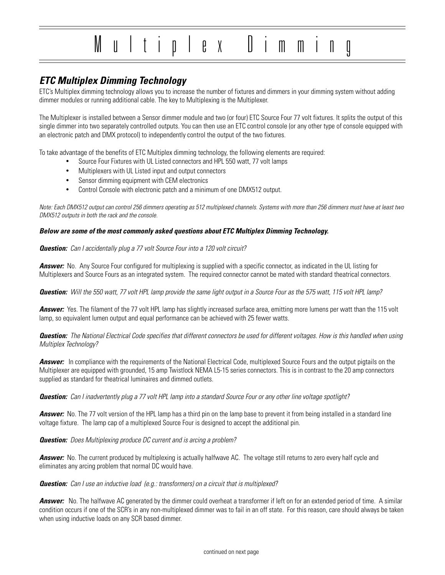# Multiplex Dimming

# **ETC Multiplex Dimming Technology**

ETC's Multiplex dimming technology allows you to increase the number of fixtures and dimmers in your dimming system without adding dimmer modules or running additional cable. The key to Multiplexing is the Multiplexer.

The Multiplexer is installed between a Sensor dimmer module and two (or four) ETC Source Four 77 volt fixtures. It splits the output of this single dimmer into two separately controlled outputs. You can then use an ETC control console (or any other type of console equipped with an electronic patch and DMX protocol) to independently control the output of the two fixtures.

To take advantage of the benefits of ETC Multiplex dimming technology, the following elements are required:

- Source Four Fixtures with UL Listed connectors and HPL 550 watt, 77 volt lamps
- Multiplexers with UL Listed input and output connectors
- Sensor dimming equipment with CEM electronics
- Control Console with electronic patch and a minimum of one DMX512 output.

Note: Each DMX512 output can control 256 dimmers operating as 512 multiplexed channels. Systems with more than 256 dimmers must have at least two DMX512 outputs in both the rack and the console.

#### **Below are some of the most commonly asked questions about ETC Multiplex Dimming Technology.**

**Question:** Can I accidentally plug a 77 volt Source Four into a 120 volt circuit?

**Answer:** No. Any Source Four configured for multiplexing is supplied with a specific connector, as indicated in the UL listing for Multiplexers and Source Fours as an integrated system. The required connector cannot be mated with standard theatrical connectors.

**Question:** Will the 550 watt, 77 volt HPL lamp provide the same light output in a Source Four as the 575 watt, 115 volt HPL lamp?

**Answer:** Yes. The filament of the 77 volt HPL lamp has slightly increased surface area, emitting more lumens per watt than the 115 volt lamp, so equivalent lumen output and equal performance can be achieved with 25 fewer watts.

**Question:** The National Electrical Code specifies that different connectors be used for different voltages. How is this handled when using Multiplex Technology?

**Answer:** In compliance with the requirements of the National Electrical Code, multiplexed Source Fours and the output pigtails on the Multiplexer are equipped with grounded, 15 amp Twistlock NEMA L5-15 series connectors. This is in contrast to the 20 amp connectors supplied as standard for theatrical luminaires and dimmed outlets.

#### **Question:** Can I inadvertently plug a 77 volt HPL lamp into a standard Source Four or any other line voltage spotlight?

**Answer:** No. The 77 volt version of the HPL lamp has a third pin on the lamp base to prevent it from being installed in a standard line voltage fixture. The lamp cap of a multiplexed Source Four is designed to accept the additional pin.

**Question:** Does Multiplexing produce DC current and is arcing a problem?

**Answer:** No. The current produced by multiplexing is actually halfwave AC. The voltage still returns to zero every half cycle and eliminates any arcing problem that normal DC would have.

#### **Question:** Can I use an inductive load (e.g.: transformers) on a circuit that is multiplexed?

**Answer:** No. The halfwave AC generated by the dimmer could overheat a transformer if left on for an extended period of time. A similar condition occurs if one of the SCR's in any non-multiplexed dimmer was to fail in an off state. For this reason, care should always be taken when using inductive loads on any SCR based dimmer.